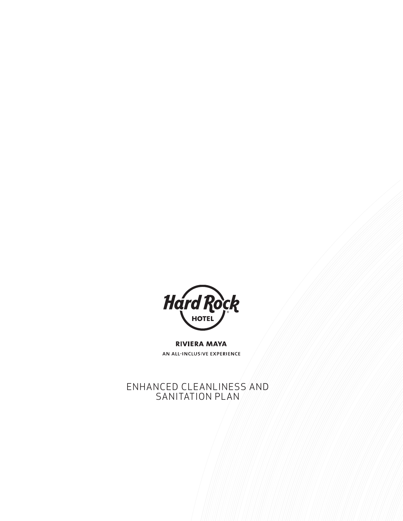

**RIVIERA MAYA** AN ALL-INCLUSIVE EXPERIENCE

ENHANCED CLEANLINESS AND SANITATION PLAN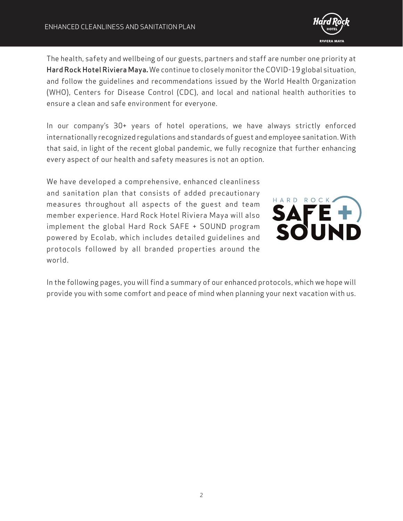

The health, safety and wellbeing of our guests, partners and staff are number one priority at Hard Rock Hotel Riviera Maya**.** We continue to closely monitor the COVID-19 global situation, and follow the guidelines and recommendations issued by the World Health Organization (WHO), Centers for Disease Control (CDC), and local and national health authorities to ensure a clean and safe environment for everyone.

In our company's 30+ years of hotel operations, we have always strictly enforced internationally recognized regulations and standards of guest and employee sanitation. With that said, in light of the recent global pandemic, we fully recognize that further enhancing every aspect of our health and safety measures is not an option.

We have developed a comprehensive, enhanced cleanliness and sanitation plan that consists of added precautionary measures throughout all aspects of the guest and team member experience. Hard Rock Hotel Riviera Maya will also implement the global Hard Rock SAFE + SOUND program powered by Ecolab, which includes detailed guidelines and protocols followed by all branded properties around the world.



In the following pages, you will find a summary of our enhanced protocols, which we hope will provide you with some comfort and peace of mind when planning your next vacation with us.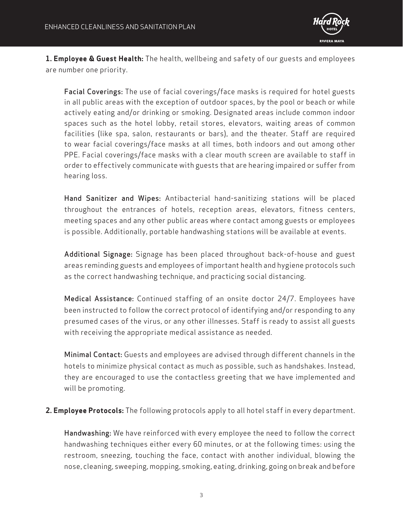

**1. Employee & Guest Health:** The health, wellbeing and safety of our guests and employees are number one priority.

Facial Coverings: The use of facial coverings/face masks is required for hotel guests in all public areas with the exception of outdoor spaces, by the pool or beach or while actively eating and/or drinking or smoking. Designated areas include common indoor spaces such as the hotel lobby, retail stores, elevators, waiting areas of common facilities (like spa, salon, restaurants or bars), and the theater. Staff are required to wear facial coverings/face masks at all times, both indoors and out among other PPE. Facial coverings/face masks with a clear mouth screen are available to staff in order to effectively communicate with guests that are hearing impaired or suffer from hearing loss.

Hand Sanitizer and Wipes: Antibacterial hand-sanitizing stations will be placed throughout the entrances of hotels, reception areas, elevators, fitness centers, meeting spaces and any other public areas where contact among guests or employees is possible. Additionally, portable handwashing stations will be available at events.

Additional Signage: Signage has been placed throughout back-of-house and guest areas reminding guests and employees of important health and hygiene protocols such as the correct handwashing technique, and practicing social distancing.

Medical Assistance: Continued staffing of an onsite doctor 24/7. Employees have been instructed to follow the correct protocol of identifying and/or responding to any presumed cases of the virus, or any other illnesses. Staff is ready to assist all guests with receiving the appropriate medical assistance as needed.

Minimal Contact: Guests and employees are advised through different channels in the hotels to minimize physical contact as much as possible, such as handshakes. Instead, they are encouraged to use the contactless greeting that we have implemented and will be promoting.

**2. Employee Protocols:** The following protocols apply to all hotel staff in every department.

Handwashing: We have reinforced with every employee the need to follow the correct handwashing techniques either every 60 minutes, or at the following times: using the restroom, sneezing, touching the face, contact with another individual, blowing the nose, cleaning, sweeping, mopping, smoking, eating, drinking, going on break and before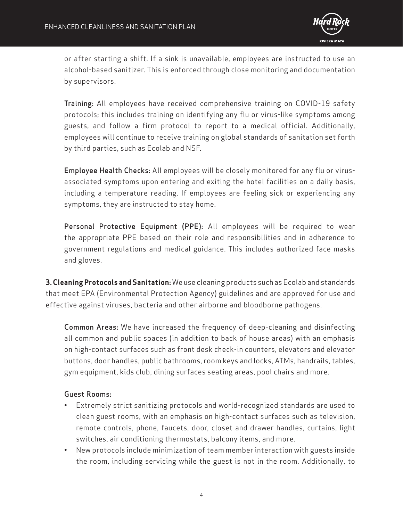

or after starting a shift. If a sink is unavailable, employees are instructed to use an alcohol-based sanitizer. This is enforced through close monitoring and documentation by supervisors.

Training: All employees have received comprehensive training on COVID-19 safety protocols; this includes training on identifying any flu or virus-like symptoms among guests, and follow a firm protocol to report to a medical official. Additionally, employees will continue to receive training on global standards of sanitation set forth by third parties, such as Ecolab and NSF.

Employee Health Checks: All employees will be closely monitored for any flu or virusassociated symptoms upon entering and exiting the hotel facilities on a daily basis, including a temperature reading. If employees are feeling sick or experiencing any symptoms, they are instructed to stay home.

Personal Protective Equipment (PPE): All employees will be required to wear the appropriate PPE based on their role and responsibilities and in adherence to government regulations and medical guidance. This includes authorized face masks and gloves.

**3. Cleaning Protocols and Sanitation:** We use cleaning products such as Ecolab and standards that meet EPA (Environmental Protection Agency) guidelines and are approved for use and effective against viruses, bacteria and other airborne and bloodborne pathogens.

Common Areas: We have increased the frequency of deep-cleaning and disinfecting all common and public spaces (in addition to back of house areas) with an emphasis on high-contact surfaces such as front desk check-in counters, elevators and elevator buttons, door handles, public bathrooms, room keys and locks, ATMs, handrails, tables, gym equipment, kids club, dining surfaces seating areas, pool chairs and more.

## Guest Rooms:

- Extremely strict sanitizing protocols and world-recognized standards are used to clean guest rooms, with an emphasis on high-contact surfaces such as television, remote controls, phone, faucets, door, closet and drawer handles, curtains, light switches, air conditioning thermostats, balcony items, and more.
- New protocols include minimization of team member interaction with guests inside the room, including servicing while the guest is not in the room. Additionally, to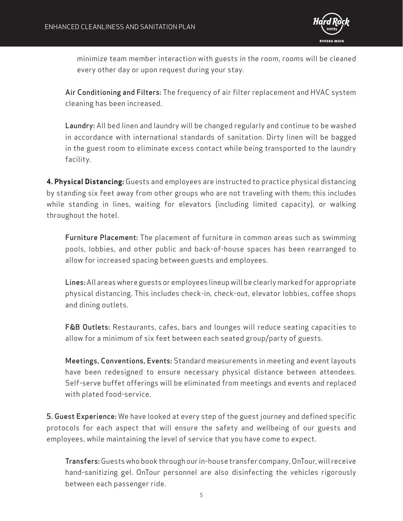

minimize team member interaction with guests in the room, rooms will be cleaned every other day or upon request during your stay.

Air Conditioning and Filters: The frequency of air filter replacement and HVAC system cleaning has been increased.

Laundry: All bed linen and laundry will be changed regularly and continue to be washed in accordance with international standards of sanitation. Dirty linen will be bagged in the guest room to eliminate excess contact while being transported to the laundry facility.

**4. Physical Distancing:** Guests and employees are instructed to practice physical distancing by standing six feet away from other groups who are not traveling with them; this includes while standing in lines, waiting for elevators (including limited capacity), or walking throughout the hotel.

Furniture Placement: The placement of furniture in common areas such as swimming pools, lobbies, and other public and back-of-house spaces has been rearranged to allow for increased spacing between guests and employees.

Lines: All areas where guests or employees lineup will be clearly marked for appropriate physical distancing. This includes check-in, check-out, elevator lobbies, coffee shops and dining outlets.

F&B Outlets: Restaurants, cafes, bars and lounges will reduce seating capacities to allow for a minimum of six feet between each seated group/party of guests.

Meetings, Conventions, Events: Standard measurements in meeting and event layouts have been redesigned to ensure necessary physical distance between attendees. Self-serve buffet offerings will be eliminated from meetings and events and replaced with plated food-service.

5. Guest Experience: We have looked at every step of the guest journey and defined specific protocols for each aspect that will ensure the safety and wellbeing of our guests and employees, while maintaining the level of service that you have come to expect.

Transfers: Guests who book through our in-house transfer company, OnTour, will receive hand-sanitizing gel. OnTour personnel are also disinfecting the vehicles rigorously between each passenger ride.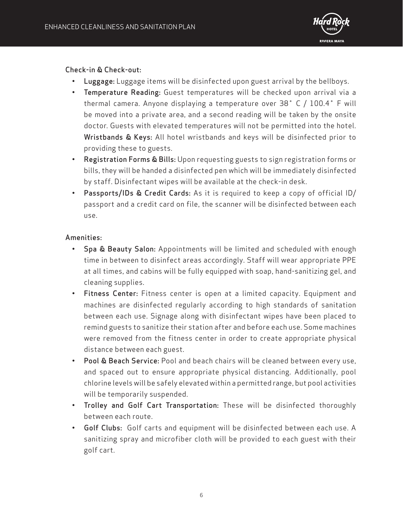

Check-in & Check-out:

- Luggage: Luggage items will be disinfected upon guest arrival by the bellboys.
- Temperature Reading: Guest temperatures will be checked upon arrival via a thermal camera. Anyone displaying a temperature over 38˚ C / 100.4˚ F will be moved into a private area, and a second reading will be taken by the onsite doctor. Guests with elevated temperatures will not be permitted into the hotel. Wristbands & Keys: All hotel wristbands and keys will be disinfected prior to providing these to guests.
- Registration Forms & Bills: Upon requesting guests to sign registration forms or bills, they will be handed a disinfected pen which will be immediately disinfected by staff. Disinfectant wipes will be available at the check-in desk.
- Passports/IDs & Credit Cards: As it is required to keep a copy of official ID/ passport and a credit card on file, the scanner will be disinfected between each use.

## Amenities:

- Spa & Beauty Salon: Appointments will be limited and scheduled with enough time in between to disinfect areas accordingly. Staff will wear appropriate PPE at all times, and cabins will be fully equipped with soap, hand-sanitizing gel, and cleaning supplies.
- Fitness Center: Fitness center is open at a limited capacity. Equipment and machines are disinfected regularly according to high standards of sanitation between each use. Signage along with disinfectant wipes have been placed to remind guests to sanitize their station after and before each use. Some machines were removed from the fitness center in order to create appropriate physical distance between each guest.
- Pool & Beach Service: Pool and beach chairs will be cleaned between every use, and spaced out to ensure appropriate physical distancing. Additionally, pool chlorine levels will be safely elevated within a permitted range, but pool activities will be temporarily suspended.
- Trolley and Golf Cart Transportation: These will be disinfected thoroughly between each route.
- Golf Clubs: Golf carts and equipment will be disinfected between each use. A sanitizing spray and microfiber cloth will be provided to each guest with their golf cart.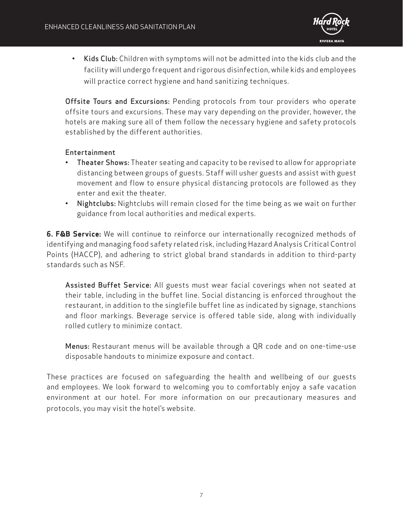

• Kids Club: Children with symptoms will not be admitted into the kids club and the facility will undergo frequent and rigorous disinfection, while kids and employees will practice correct hygiene and hand sanitizing techniques.

Offsite Tours and Excursions: Pending protocols from tour providers who operate offsite tours and excursions. These may vary depending on the provider, however, the hotels are making sure all of them follow the necessary hygiene and safety protocols established by the different authorities.

## Entertainment

- Theater Shows: Theater seating and capacity to be revised to allow for appropriate distancing between groups of guests. Staff will usher guests and assist with guest movement and flow to ensure physical distancing protocols are followed as they enter and exit the theater.
- Nightclubs: Nightclubs will remain closed for the time being as we wait on further guidance from local authorities and medical experts.

**6. F&B Service:** We will continue to reinforce our internationally recognized methods of identifying and managing food safety related risk, including Hazard Analysis Critical Control Points (HACCP), and adhering to strict global brand standards in addition to third-party standards such as NSF.

Assisted Buffet Service: All guests must wear facial coverings when not seated at their table, including in the buffet line. Social distancing is enforced throughout the restaurant, in addition to the singlefile buffet line as indicated by signage, stanchions and floor markings. Beverage service is offered table side, along with individually rolled cutlery to minimize contact.

Menus: Restaurant menus will be available through a QR code and on one-time-use disposable handouts to minimize exposure and contact.

These practices are focused on safeguarding the health and wellbeing of our guests and employees. We look forward to welcoming you to comfortably enjoy a safe vacation environment at our hotel. For more information on our precautionary measures and protocols, you may visit the hotel's website.